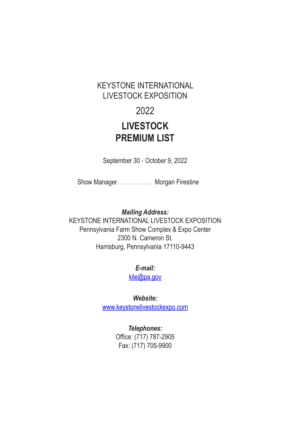# KEYSTONE INTERNATIONAL LIVESTOCK EXPOSITION

# 2022

# **LIVESTOCK PREMIUM LIST**

September 30 - October 9, 2022

Show Manager. . . . . . . . . . Morgan Firestine

*Mailing Address:*

KEYSTONE INTERNATIONAL LIVESTOCK EXPOSITION Pennsylvania Farm Show Complex & Expo Center 2300 N. Cameron St. Harrisburg, Pennsylvania 17110-9443

*E-mail:*

kile@pa.gov

*Website:*

www.keystonelivestockexpo.com

*Telephones:* Office: (717) 787‑2905 Fax: (717) 705-9900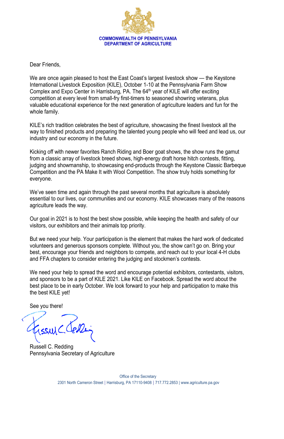

Dear Friends,

We are once again pleased to host the East Coast's largest livestock show — the Keystone International Livestock Exposition (KILE), October 1-10 at the Pennsylvania Farm Show Complex and Expo Center in Harrisburg, PA. The 64<sup>th</sup> year of KILE will offer exciting competition at every level from small-fry first-timers to seasoned showring veterans, plus valuable educational experience for the next generation of agriculture leaders and fun for the whole family.

KILE's rich tradition celebrates the best of agriculture, showcasing the finest livestock all the way to finished products and preparing the talented young people who will feed and lead us, our industry and our economy in the future.

Kicking off with newer favorites Ranch Riding and Boer goat shows, the show runs the gamut from a classic array of livestock breed shows, high-energy draft horse hitch contests, fitting, judging and showmanship, to showcasing end-products through the Keystone Classic Barbeque Competition and the PA Make It with Wool Competition. The show truly holds something for everyone.

We've seen time and again through the past several months that agriculture is absolutely essential to our lives, our communities and our economy. KILE showcases many of the reasons agriculture leads the way.

Our goal in 2021 is to host the best show possible, while keeping the health and safety of our visitors, our exhibitors and their animals top priority.

But we need your help. Your participation is the element that makes the hard work of dedicated volunteers and generous sponsors complete. Without you, the show can't go on. Bring your best, encourage your friends and neighbors to compete, and reach out to your local 4-H clubs and FFA chapters to consider entering the judging and stockmen's contests.

We need your help to spread the word and encourage potential exhibitors, contestants, visitors, and sponsors to be a part of KILE 2021. Like KILE on Facebook. Spread the word about the best place to be in early October. We look forward to your help and participation to make this the best KILE yet!

See you there!

Russell C. Redding Pennsylvania Secretary of Agriculture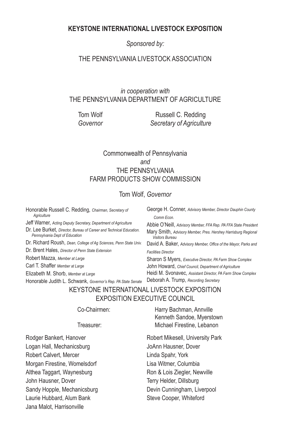## **KEYSTONE INTERNATIONAL LIVESTOCK EXPOSITION**

*Sponsored by:*

## THE PENNSYLVANIA LIVESTOCK ASSOCIATION

## *in cooperation with* THE PENNSYLVANIA DEPARTMENT OF AGRICULTURE

Tom Wolf **Russell C. Redding** *Governor Secretary of Agriculture*

## Commonwealth of Pennsylvania *and* THE PENNSYLVANIA FARM PRODUCTS SHOW COMMISSION

## Tom Wolf, *Governor*

Honorable Russell C. Redding, *Chairman, Secretary of Agriculture*

Jeff Warner, *Acting Deputy Secretary, Department of Agriculture*

Dr. Lee Burket, *Director, Bureau of Career and Technical Education. Pennsylvania Dept of Education*

Dr. Richard Roush, *Dean, College of Ag Sciences, Penn State Univ.*

Dr. Brent Hales, *Director of Penn State Extension*

Robert Mazza, *Member at Large*

Carl T. Shaffer *Member at Large*

Elizabeth M. Shorb, *Member at Large*

George H. Conner, *Advisory Member, Director Dauphin County Comm Econ.*

Abbie O'Neill, *Advisory Member, FFA Rep. PA FFA State President* Mary Smith, *Advisory Member, Pres. Hershey Harrisburg Regional Visitors Bureau*

David A. Baker, *Advisory Member, Office of the Mayor, Parks and Facilities Director*

Honorable Judith L. Schwank, *Governor's Rep. PA State Senate* Deborah A. Trump, *Recording Secretary*Sharon S Myers, *Executive Director, PA Farm Show Complex* John Howard, *Chief Council, Department of Agriculture* Heidi M. Svonavec, *Assistant Director, PA Farm Show Complex*

# KEYSTONE INTERNATIONAL LIVESTOCK EXPOSITION EXPOSITION EXECUTIVE COUNCIL

Rodger Bankert, Hanover Logan Hall, Mechanicsburg Robert Calvert, Mercer Morgan Firestine, Womelsdorf Althea Taggart, Waynesburg John Hausner, Dover Sandy Hopple, Mechanicsburg Laurie Hubbard, Alum Bank Jana Malot, Harrisonville

Co-Chairmen: Harry Bachman, Annville Kenneth Sandoe, Myerstown Treasurer: Michael Firestine, Lebanon

> Robert Mikesell, University Park JoAnn Hausner, Dover Linda Spahr, York Lisa Witmer, Columbia Ron & Lois Ziegler, Newville Terry Helder, Dillsburg Devin Cunningham, Liverpool Steve Cooper, Whiteford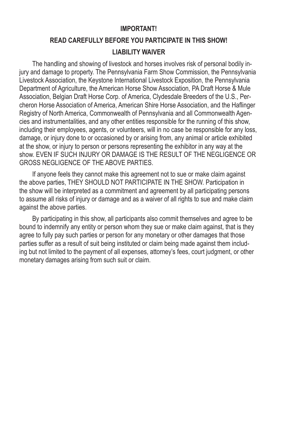## **IMPORTANT!**

# **READ CAREFULLY BEFORE YOU PARTICIPATE IN THIS SHOW! LIABILITY WAIVER**

The handling and showing of livestock and horses involves risk of personal bodily injury and damage to property. The Pennsylvania Farm Show Commission, the Pennsylvania Livestock Association, the Keystone International Livestock Exposition, the Pennsylvania Department of Agriculture, the American Horse Show Association, PA Draft Horse & Mule Association, Belgian Draft Horse Corp. of America, Clydesdale Breeders of the U.S., Percheron Horse Association of America, American Shire Horse Association, and the Haflinger Registry of North America, Commonwealth of Pennsylvania and all Commonwealth Agencies and instrumentalities, and any other entities responsible for the running of this show, including their employees, agents, or volunteers, will in no case be responsible for any loss, damage, or injury done to or occasioned by or arising from, any animal or article exhibited at the show, or injury to person or persons representing the exhibitor in any way at the show. EVEN IF SUCH INJURY OR DAMAGE IS THE RESULT OF THE NEGLIGENCE OR GROSS NEGLIGENCE OF THE ABOVE PARTIES.

If anyone feels they cannot make this agreement not to sue or make claim against the above parties, THEY SHOULD NOT PARTICIPATE IN THE SHOW. Participation in the show will be interpreted as a commitment and agreement by all participating persons to assume all risks of injury or damage and as a waiver of all rights to sue and make claim against the above parties.

By participating in this show, all participants also commit themselves and agree to be bound to indemnify any entity or person whom they sue or make claim against, that is they agree to fully pay such parties or person for any monetary or other damages that those parties suffer as a result of suit being instituted or claim being made against them including but not limited to the payment of all expenses, attorney's fees, court judgment, or other monetary damages arising from such suit or claim.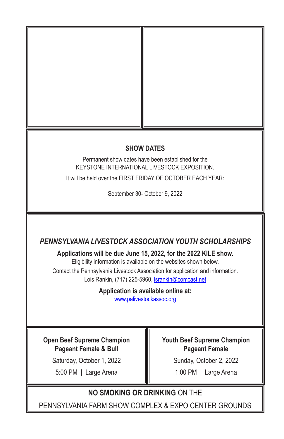